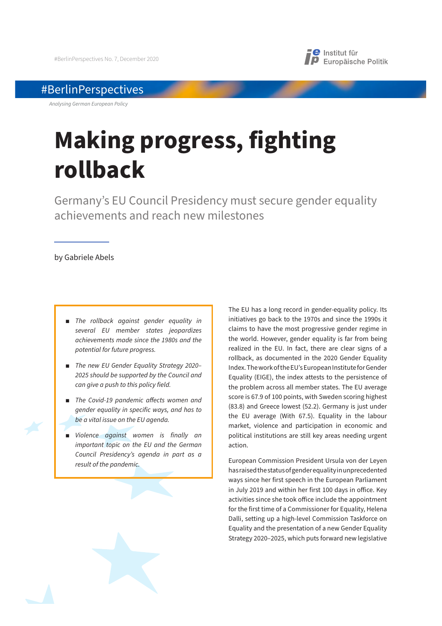

# #BerlinPerspectives

*Analysing German European Policy*

# **Making progress, fighting rollback**

Germany's EU Council Presidency must secure gender equality achievements and reach new milestones

## by Gabriele Abels

- **The rollback against gender equality in** *several EU member states jeopardizes achievements made since the 1980s and the potential for future progress.*
- *The new EU Gender Equality Strategy 2020*-*2025 should be supported by the Council and can give a push to this policy field.*
- *The Covid-19 pandemic affects women and gender equality in specific ways, and has to be a vital issue on the EU agenda.*
- Ŷ *Violence against women is finally an important topic on the EU and the German Council Presidency's agenda in part as a result of the pandemic.*

The EU has a long record in gender-equality policy. Its initiatives go back to the 1970s and since the 1990s it claims to have the most progressive gender regime in the world. However, gender equality is far from being realized in the EU. In fact, there are clear signs of a rollback, as documented in the 2020 Gender Equality Index. The work of the EU's European Institute for Gender Equality (EIGE), the index attests to the persistence of the problem across all member states. The EU average score is 67.9 of 100 points, with Sweden scoring highest (83.8) and Greece lowest (52.2). Germany is just under the EU average (With 67.5). Equality in the labour market, violence and participation in economic and political institutions are still key areas needing urgent action.

European Commission President Ursula von der Leyen has raised the status of gender equality in unprecedented ways since her first speech in the European Parliament in July 2019 and within her first 100 days in office. Key activities since she took office include the appointment for the first time of a Commissioner for Equality, Helena Dalli, setting up a high-level Commission Taskforce on Equality and the presentation of a new Gender Equality Strategy 2020–2025, which puts forward new legislative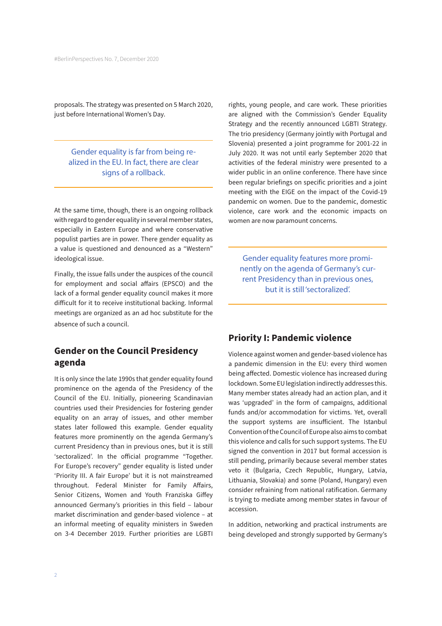proposals. The strategy was presented on 5 March 2020, just before International Women's Day.

Gender equality is far from being realized in the EU. In fact, there are clear signs of a rollback.

At the same time, though, there is an ongoing rollback with regard to gender equality in several member states, especially in Eastern Europe and where conservative populist parties are in power. There gender equality as a value is questioned and denounced as a "Western" ideological issue.

Finally, the issue falls under the auspices of the council for employment and social affairs (EPSCO) and the lack of a formal gender equality council makes it more difficult for it to receive institutional backing. Informal meetings are organized as an ad hoc substitute for the absence of such a council.

# **Gender on the Council Presidency agenda**

It is only since the late 1990s that gender equality found prominence on the agenda of the Presidency of the Council of the EU. Initially, pioneering Scandinavian countries used their Presidencies for fostering gender equality on an array of issues, and other member states later followed this example. Gender equality features more prominently on the agenda Germany's current Presidency than in previous ones, but it is still 'sectoralized'. In the official programme "Together. For Europe's recovery" gender equality is listed under 'Priority III. A fair Europe' but it is not mainstreamed throughout. Federal Minister for Family Affairs, Senior Citizens, Women and Youth Franziska Giffey announced Germany's priorities in this field – labour market discrimination and gender-based violence – at an informal meeting of equality ministers in Sweden on 3-4 December 2019. Further priorities are LGBTI rights, young people, and care work. These priorities are aligned with the Commission's Gender Equality Strategy and the recently announced LGBTI Strategy. The trio presidency (Germany jointly with Portugal and Slovenia) presented a joint programme for 2001-22 in July 2020. It was not until early September 2020 that activities of the federal ministry were presented to a wider public in an online conference. There have since been regular briefings on specific priorities and a joint meeting with the EIGE on the impact of the Covid-19 pandemic on women. Due to the pandemic, domestic violence, care work and the economic impacts on women are now paramount concerns.

Gender equality features more prominently on the agenda of Germany's current Presidency than in previous ones, but it is still 'sectoralized'.

## **Priority I: Pandemic violence**

Violence against women and gender-based violence has a pandemic dimension in the EU: every third women being affected. Domestic violence has increased during lockdown. Some EU legislation indirectly addresses this. Many member states already had an action plan, and it was 'upgraded' in the form of campaigns, additional funds and/or accommodation for victims. Yet, overall the support systems are insufficient. The Istanbul Convention of the Council of Europe also aims to combat this violence and calls for such support systems. The EU signed the convention in 2017 but formal accession is still pending, primarily because several member states veto it (Bulgaria, Czech Republic, Hungary, Latvia, Lithuania, Slovakia) and some (Poland, Hungary) even consider refraining from national ratification. Germany is trying to mediate among member states in favour of accession.

In addition, networking and practical instruments are being developed and strongly supported by Germany's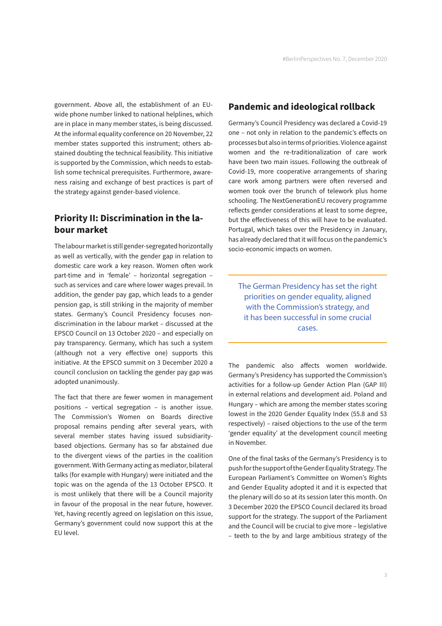government. Above all, the establishment of an EUwide phone number linked to national helplines, which are in place in many member states, is being discussed. At the informal equality conference on 20 November, 22 member states supported this instrument; others abstained doubting the technical feasibility. This initiative is supported by the Commission, which needs to establish some technical prerequisites. Furthermore, awareness raising and exchange of best practices is part of the strategy against gender-based violence.

# **Priority II: Discrimination in the labour market**

The labour market is still gender-segregated horizontally as well as vertically, with the gender gap in relation to domestic care work a key reason. Women often work part-time and in 'female' – horizontal segregation – such as services and care where lower wages prevail. In addition, the gender pay gap, which leads to a gender pension gap, is still striking in the majority of member states. Germany's Council Presidency focuses nondiscrimination in the labour market – discussed at the EPSCO Council on 13 October 2020 – and especially on pay transparency. Germany, which has such a system (although not a very effective one) supports this initiative. At the EPSCO summit on 3 December 2020 a council conclusion on tackling the gender pay gap was adopted unanimously.

The fact that there are fewer women in management positions – vertical segregation – is another issue. The Commission's Women on Boards directive proposal remains pending after several years, with several member states having issued subsidiaritybased objections. Germany has so far abstained due to the divergent views of the parties in the coalition government. With Germany acting as mediator, bilateral talks (for example with Hungary) were initiated and the topic was on the agenda of the 13 October EPSCO. It is most unlikely that there will be a Council majority in favour of the proposal in the near future, however. Yet, having recently agreed on legislation on this issue, Germany's government could now support this at the EU level.

## **Pandemic and ideological rollback**

Germany's Council Presidency was declared a Covid-19 one - not only in relation to the pandemic's effects on processes but also in terms of priorities. Violence against women and the re-traditionalization of care work have been two main issues. Following the outbreak of Covid-19, more cooperative arrangements of sharing care work among partners were often reversed and women took over the brunch of telework plus home schooling. The NextGenerationEU recovery programme reflects gender considerations at least to some degree, but the effectiveness of this will have to be evaluated. Portugal, which takes over the Presidency in January, has already declared that it will focus on the pandemic's socio-economic impacts on women.

The German Presidency has set the right priorities on gender equality, aligned with the Commission's strategy, and it has been successful in some crucial cases.

The pandemic also affects women worldwide. Germany's Presidency has supported the Commission's activities for a follow-up Gender Action Plan (GAP III) in external relations and development aid. Poland and Hungary – which are among the member states scoring lowest in the 2020 Gender Equality Index (55.8 and 53 respectively) – raised objections to the use of the term 'gender equality' at the development council meeting in November.

One of the final tasks of the Germany's Presidency is to push for the support of the Gender Equality Strategy. The European Parliament's Committee on Women's Rights and Gender Equality adopted it and it is expected that the plenary will do so at its session later this month. On 3 December 2020 the EPSCO Council declared its broad support for the strategy. The support of the Parliament and the Council will be crucial to give more – legislative – teeth to the by and large ambitious strategy of the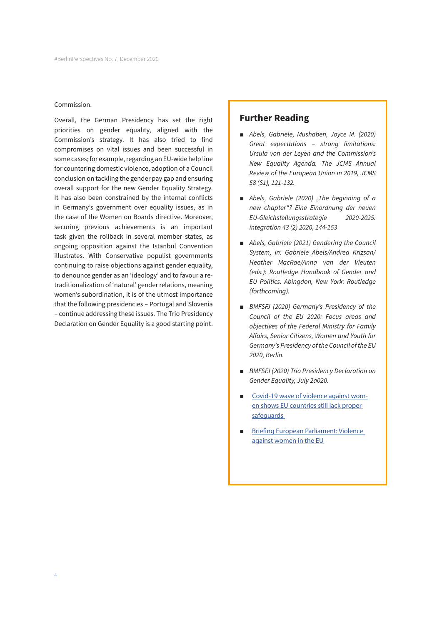## Commission.

Overall, the German Presidency has set the right priorities on gender equality, aligned with the Commission's strategy. It has also tried to find compromises on vital issues and been successful in some cases; for example, regarding an EU-wide help line for countering domestic violence, adoption of a Council conclusion on tackling the gender pay gap and ensuring overall support for the new Gender Equality Strategy. It has also been constrained by the internal conflicts in Germany's government over equality issues, as in the case of the Women on Boards directive. Moreover, securing previous achievements is an important task given the rollback in several member states, as ongoing opposition against the Istanbul Convention illustrates. With Conservative populist governments continuing to raise objections against gender equality, to denounce gender as an 'ideology' and to favour a retraditionalization of 'natural' gender relations, meaning women's subordination, it is of the utmost importance that the following presidencies – Portugal and Slovenia – continue addressing these issues. The Trio Presidency Declaration on Gender Equality is a good starting point.

## **Further Reading**

- *Abels, Gabriele, Mushaben, Joyce M. (2020) Great expectations – strong limitations: Ursula von der Leyen and the Commission's New Equality Agenda. The JCMS Annual Review of the European Union in 2019, JCMS 58 (S1), 121-132.*
- **Abels, Gabriele (2020)** "The beginning of a *new chapter"? Eine Einordnung der neuen EU-Gleichstellungsstrategie 2020-2025. integration 43 (2) 2020, 144-153*
- **Abels, Gabriele (2021) Gendering the Council** *System, in: Gabriele Abels/Andrea Krizsan/ Heather MacRae/Anna van der Vleuten (eds.): Routledge Handbook of Gender and EU Politics. Abingdon, New York: Routledge (forthcoming).*
- **BMFSFJ** (2020) Germany's Presidency of the *Council of the EU 2020: Focus areas and objectives of the Federal Ministry for Family A*!*airs, Senior Citizens, Women and Youth for Germany's Presidency of the Council of the EU 2020, Berlin.*
- **BMFSFJ (2020) Trio Presidency Declaration on** *Gender Equality, July 2a020.*
- $\Box$  [Covid-19 wave of violence against wom](https://eige.europa.eu/news/covid-19-wave-violence-against-women-shows-eu-countries-still-lack-proper-safeguards)[en shows EU countries still lack proper](https://eige.europa.eu/news/covid-19-wave-violence-against-women-shows-eu-countries-still-lack-proper-safeguards)  [safeguards](https://eige.europa.eu/news/covid-19-wave-violence-against-women-shows-eu-countries-still-lack-proper-safeguards)
- **Briefing European Parliament: Violence** [against women in the EU](https://www.europarl.europa.eu/RegData/etudes/BRIE/2020/659333/EPRS_BRI(2020)659333_EN.pdf)